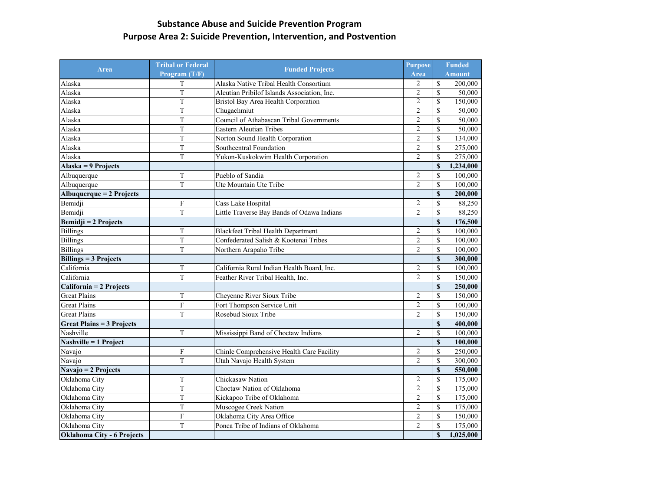## **Substance Abuse and Suicide Prevention Program Purpose Area 2: Suicide Prevention, Intervention, and Postvention**

| Area                             | <b>Tribal or Federal</b><br>Program (T/F) | <b>Funded Projects</b>                      | <b>Purpose</b> |                         | <b>Funded</b> |
|----------------------------------|-------------------------------------------|---------------------------------------------|----------------|-------------------------|---------------|
|                                  |                                           |                                             |                |                         | <b>Amount</b> |
| Alaska                           | T                                         | Alaska Native Tribal Health Consortium      | $\overline{2}$ | $\mathbb S$             | 200,000       |
| Alaska                           | T                                         | Aleutian Pribilof Islands Association, Inc. | $\overline{2}$ | $\overline{\mathbb{S}}$ | 50,000        |
| Alaska                           | T                                         | Bristol Bay Area Health Corporation         | $\overline{2}$ | $\overline{\mathbb{S}}$ | 150,000       |
| Alaska                           | T                                         | Chugachmiut                                 | $\overline{2}$ | $\overline{\mathbf{S}}$ | 50,000        |
| Alaska                           | T                                         | Council of Athabascan Tribal Governments    | $\overline{2}$ | \$                      | 50,000        |
| Alaska                           | T                                         | <b>Eastern Aleutian Tribes</b>              | $\overline{2}$ | $\mathbf S$             | 50,000        |
| Alaska                           | T                                         | Norton Sound Health Corporation             | $\overline{2}$ | \$                      | 134,000       |
| Alaska                           | T                                         | Southcentral Foundation                     | $\overline{2}$ | \$                      | 275,000       |
| Alaska                           | $\overline{T}$                            | Yukon-Kuskokwim Health Corporation          | $\overline{2}$ | $\mathbb S$             | 275,000       |
| Alaska = 9 Projects              |                                           |                                             |                | $\overline{\mathbf{S}}$ | 1,234,000     |
| Albuquerque                      | T                                         | Pueblo of Sandia                            | $\overline{2}$ | \$                      | 100,000       |
| Albuquerque                      | T                                         | Ute Mountain Ute Tribe                      | $\overline{2}$ | $\mathbf S$             | 100,000       |
| Albuquerque = 2 Projects         |                                           |                                             |                | \$                      | 200,000       |
| Bemidji                          | ${\bf F}$                                 | Cass Lake Hospital                          | $\overline{2}$ | \$                      | 88,250        |
| Bemidji                          | $\overline{T}$                            | Little Traverse Bay Bands of Odawa Indians  | $\overline{2}$ | $\overline{\mathbb{S}}$ | 88,250        |
| <b>Bemidji = 2 Projects</b>      |                                           |                                             |                | $\overline{\mathbf{S}}$ | 176,500       |
| <b>Billings</b>                  | $\mathbf T$                               | <b>Blackfeet Tribal Health Department</b>   | $\overline{2}$ | \$                      | 100,000       |
| <b>Billings</b>                  | T                                         | Confederated Salish & Kootenai Tribes       | $\overline{2}$ | \$                      | 100,000       |
| <b>Billings</b>                  | T                                         | Northern Arapaho Tribe                      | $\overline{2}$ | $\mathbb S$             | 100,000       |
| <b>Billings = 3 Projects</b>     |                                           |                                             |                | $\boldsymbol{s}$        | 300,000       |
| California                       | $\mathbf T$                               | California Rural Indian Health Board, Inc.  | $\overline{2}$ | $\overline{\mathbf{S}}$ | 100,000       |
| California                       | T                                         | Feather River Tribal Health, Inc.           | $\overline{2}$ | $\overline{\mathbb{S}}$ | 150,000       |
| California = 2 Projects          |                                           |                                             |                | $\mathbf S$             | 250,000       |
| <b>Great Plains</b>              | $\mathbf T$                               | Cheyenne River Sioux Tribe                  | $\overline{2}$ | \$                      | 150,000       |
| <b>Great Plains</b>              | $\boldsymbol{\mathrm{F}}$                 | Fort Thompson Service Unit                  | $\overline{2}$ | \$                      | 100,000       |
| <b>Great Plains</b>              | T                                         | Rosebud Sioux Tribe                         | $\overline{2}$ | \$                      | 150,000       |
| <b>Great Plains = 3 Projects</b> |                                           |                                             |                | $\overline{\mathbf{s}}$ | 400,000       |
| Nashville                        | $\mathbf T$                               | Mississippi Band of Choctaw Indians         | $\overline{2}$ | \$                      | 100,000       |
| Nashville = 1 Project            |                                           |                                             |                | $\mathbf S$             | 100,000       |
| Navajo                           | ${\bf F}$                                 | Chinle Comprehensive Health Care Facility   | $\overline{2}$ | \$                      | 250,000       |
| Navajo                           | T                                         | Utah Navajo Health System                   | $\overline{2}$ | \$                      | 300,000       |
| Navajo = 2 Projects              |                                           |                                             |                | $\mathbf S$             | 550,000       |
| Oklahoma City                    | T                                         | Chickasaw Nation                            | 2              | <sup>\$</sup>           | 175,000       |
| Oklahoma City                    | $\overline{T}$                            | Choctaw Nation of Oklahoma                  | $\overline{2}$ | $\overline{\mathbb{S}}$ | 175,000       |
| Oklahoma City                    | T                                         | Kickapoo Tribe of Oklahoma                  | $\overline{2}$ | $\mathbb{S}$            | 175,000       |
| Oklahoma City                    | T                                         | Muscogee Creek Nation                       | $\overline{2}$ | \$                      | 175,000       |
| Oklahoma City                    | ${\bf F}$                                 | Oklahoma City Area Office                   | $\overline{2}$ | \$                      | 150,000       |
| Oklahoma City                    | T                                         | Ponca Tribe of Indians of Oklahoma          | $\overline{2}$ | $\mathbb S$             | 175,000       |
| Oklahoma City - 6 Projects       |                                           |                                             |                | \$                      | 1,025,000     |